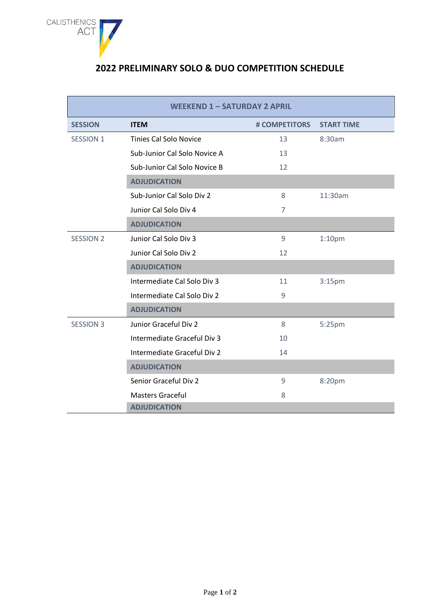

## **2022 PRELIMINARY SOLO & DUO COMPETITION SCHEDULE**

| <b>WEEKEND 1 - SATURDAY 2 APRIL</b> |                               |                |                    |  |
|-------------------------------------|-------------------------------|----------------|--------------------|--|
| <b>SESSION</b>                      | <b>ITEM</b>                   | # COMPETITORS  | <b>START TIME</b>  |  |
| <b>SESSION 1</b>                    | <b>Tinies Cal Solo Novice</b> | 13             | 8:30am             |  |
|                                     | Sub-Junior Cal Solo Novice A  | 13             |                    |  |
|                                     | Sub-Junior Cal Solo Novice B  | 12             |                    |  |
|                                     | <b>ADJUDICATION</b>           |                |                    |  |
|                                     | Sub-Junior Cal Solo Div 2     | 8              | 11:30am            |  |
|                                     | Junior Cal Solo Div 4         | $\overline{7}$ |                    |  |
|                                     | <b>ADJUDICATION</b>           |                |                    |  |
| <b>SESSION 2</b>                    | Junior Cal Solo Div 3         | 9              | 1:10 <sub>pm</sub> |  |
|                                     | Junior Cal Solo Div 2         | 12             |                    |  |
|                                     | <b>ADJUDICATION</b>           |                |                    |  |
|                                     | Intermediate Cal Solo Div 3   | 11             | 3:15 <sub>pm</sub> |  |
|                                     | Intermediate Cal Solo Div 2   | 9              |                    |  |
|                                     | <b>ADJUDICATION</b>           |                |                    |  |
| <b>SESSION 3</b>                    | Junior Graceful Div 2         | 8              | 5:25pm             |  |
|                                     | Intermediate Graceful Div 3   | 10             |                    |  |
|                                     | Intermediate Graceful Div 2   | 14             |                    |  |
|                                     | <b>ADJUDICATION</b>           |                |                    |  |
|                                     | Senior Graceful Div 2         | $\mathsf 9$    | 8:20pm             |  |
|                                     | <b>Masters Graceful</b>       | 8              |                    |  |
|                                     | <b>ADJUDICATION</b>           |                |                    |  |